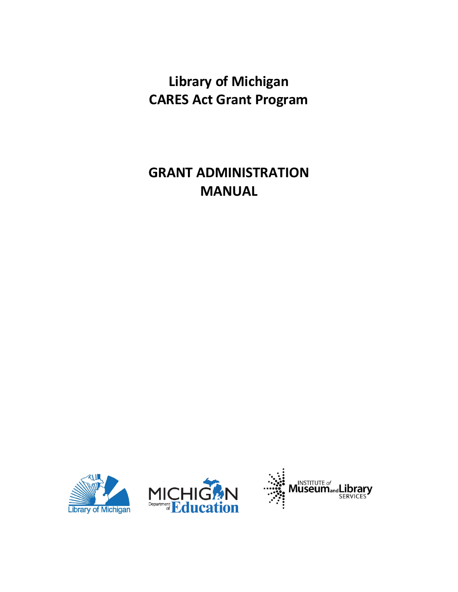# **Library of Michigan CARES Act Grant Program**

## **GRANT ADMINISTRATION MANUAL**



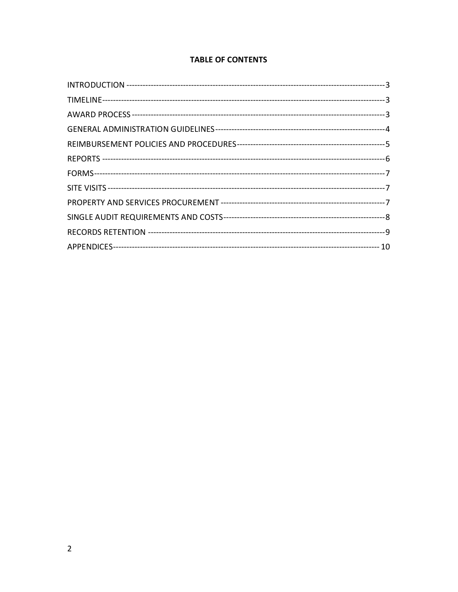## **TABLE OF CONTENTS**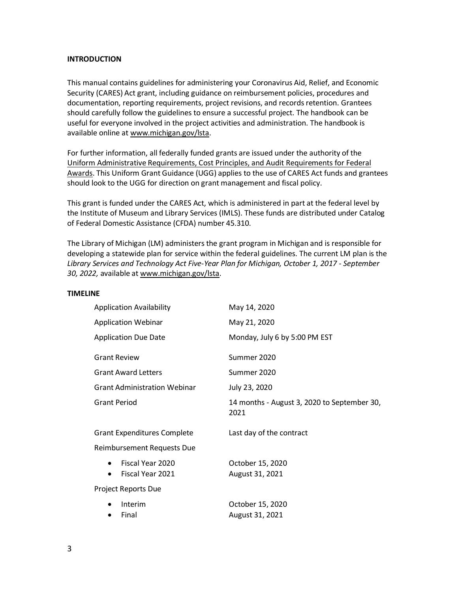## **INTRODUCTION**

This manual contains guidelines for administering your Coronavirus Aid, Relief, and Economic Security (CARES) Act grant, including guidance on reimbursement policies, procedures and documentation, reporting requirements, project revisions, and records retention. Grantees should carefully follow the guidelines to ensure a successful project. The handbook can be useful for everyone involved in the project activities and administration. The handbook is available online at [www.michigan.gov/lsta.](http://www.michigan.gov/lsta)

For further information, all federally funded grants are issued under the authority of the [Uniform Administrative Requirements, Cost Principles, and Audit Requirements for Federal](https://www.federalregister.gov/articles/2013/12/26/2013-30465/uniform-administrative-requirements-cost-principles-and-audit-requirements-for-federal-awards#sec-200-33)  [Awards.](https://www.federalregister.gov/articles/2013/12/26/2013-30465/uniform-administrative-requirements-cost-principles-and-audit-requirements-for-federal-awards#sec-200-33) This Uniform Grant Guidance (UGG) applies to the use of CARES Act funds and grantees should look to the UGG for direction on grant management and fiscal policy.

This grant is funded under the CARES Act, which is administered in part at the federal level by the Institute of Museum and Library Services (IMLS). These funds are distributed under Catalog of Federal Domestic Assistance (CFDA) number 45.310.

The Library of Michigan (LM) administers the grant program in Michigan and is responsible for developing a statewide plan for service within the federal guidelines. The current LM plan is the *Library Services and Technology Act Five-Year Plan for Michigan, October 1, 2017 - September 30, 2022,* available a[t www.michigan.gov/lsta.](http://www.michigan.gov/lsta)

#### **TIMELINE**

| <b>Application Availability</b>     |                                      | May 14, 2020                                        |  |
|-------------------------------------|--------------------------------------|-----------------------------------------------------|--|
| <b>Application Webinar</b>          |                                      | May 21, 2020                                        |  |
| <b>Application Due Date</b>         |                                      | Monday, July 6 by 5:00 PM EST                       |  |
| <b>Grant Review</b>                 |                                      | Summer 2020                                         |  |
| <b>Grant Award Letters</b>          |                                      | Summer 2020                                         |  |
| <b>Grant Administration Webinar</b> |                                      | July 23, 2020                                       |  |
| <b>Grant Period</b>                 |                                      | 14 months - August 3, 2020 to September 30,<br>2021 |  |
| <b>Grant Expenditures Complete</b>  |                                      | Last day of the contract                            |  |
| <b>Reimbursement Requests Due</b>   |                                      |                                                     |  |
| $\bullet$<br>$\bullet$              | Fiscal Year 2020<br>Fiscal Year 2021 | October 15, 2020<br>August 31, 2021                 |  |
| <b>Project Reports Due</b>          |                                      |                                                     |  |
|                                     | Interim<br>Final                     | October 15, 2020<br>August 31, 2021                 |  |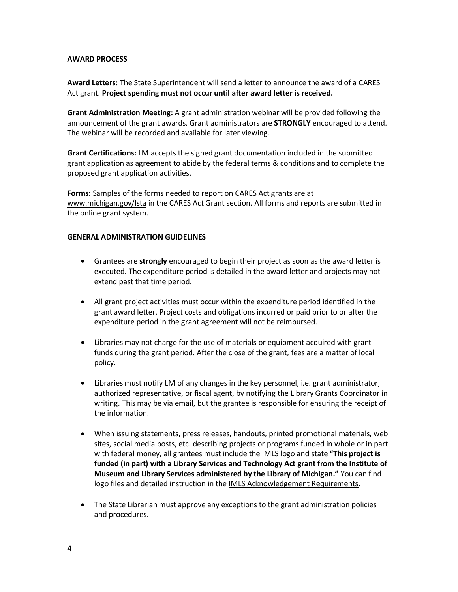## **AWARD PROCESS**

**Award Letters:** The State Superintendent will send a letter to announce the award of a CARES Act grant. **Project spending must not occur until after award letter is received.**

**Grant Administration Meeting:** A grant administration webinar will be provided following the announcement of the grant awards. Grant administrators are **STRONGLY** encouraged to attend. The webinar will be recorded and available for later viewing.

**Grant Certifications:** LM accepts the signed grant documentation included in the submitted grant application as agreement to abide by the federal terms & conditions and to complete the proposed grant application activities.

**Forms:** Samples of the forms needed to report on CARES Act grants are at [www.michigan.gov/lsta](http://www.michigan.gov/lsta) in the CARES Act Grant section. All forms and reports are submitted in the online grant system.

#### **GENERAL ADMINISTRATION GUIDELINES**

- Grantees are **strongly** encouraged to begin their project as soon as the award letter is executed. The expenditure period is detailed in the award letter and projects may not extend past that time period.
- All grant project activities must occur within the expenditure period identified in the grant award letter. Project costs and obligations incurred or paid prior to or after the expenditure period in the grant agreement will not be reimbursed.
- Libraries may not charge for the use of materials or equipment acquired with grant funds during the grant period. After the close of the grant, fees are a matter of local policy.
- Libraries must notify LM of any changes in the key personnel, i.e. grant administrator, authorized representative, or fiscal agent, by notifying the Library Grants Coordinator in writing. This may be via email, but the grantee is responsible for ensuring the receipt of the information.
- When issuing statements, press releases, handouts, printed promotional materials, web sites, social media posts, etc. describing projects or programs funded in whole or in part with federal money, all grantees must include the IMLS logo and state **"This project is funded (in part) with a Library Services and Technology Act grant from the Institute of Museum and Library Services administered by the Library of Michigan."** You can find logo files and detailed instruction in the [IMLS Acknowledgement Requirements.](https://www.imls.gov/grants/grant-recipients/grantee-communications-kit/imls-acknowledgement-requirments)
- The State Librarian must approve any exceptions to the grant administration policies and procedures.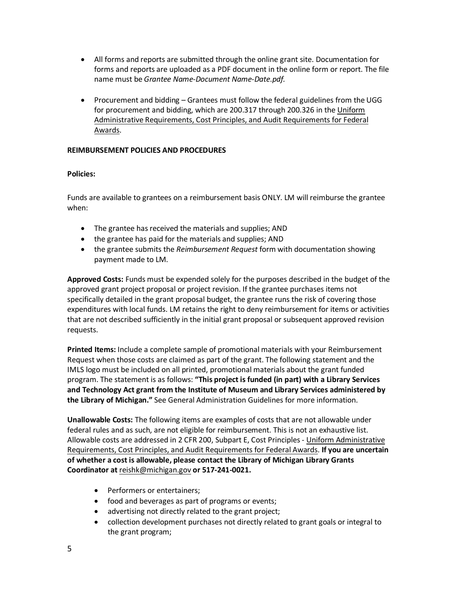- All forms and reports are submitted through the online grant site. Documentation for forms and reports are uploaded as a PDF document in the online form or report. The file name must be *Grantee Name-Document Name-Date.pdf.*
- Procurement and bidding Grantees must follow the federal guidelines from the UGG for procurement and bidding, which are 200.317 through 200.326 in the [Uniform](https://www.federalregister.gov/articles/2013/12/26/2013-30465/uniform-administrative-requirements-cost-principles-and-audit-requirements-for-federal-awards#sec-200-33)  [Administrative Requirements, Cost Principles, and Audit Requirements for Federal](https://www.federalregister.gov/articles/2013/12/26/2013-30465/uniform-administrative-requirements-cost-principles-and-audit-requirements-for-federal-awards#sec-200-33)  [Awards.](https://www.federalregister.gov/articles/2013/12/26/2013-30465/uniform-administrative-requirements-cost-principles-and-audit-requirements-for-federal-awards#sec-200-33)

## **REIMBURSEMENT POLICIES AND PROCEDURES**

## **Policies:**

Funds are available to grantees on a reimbursement basis ONLY. LM will reimburse the grantee when:

- The grantee has received the materials and supplies; AND
- the grantee has paid for the materials and supplies; AND
- the grantee submits the *Reimbursement Request* form with documentation showing payment made to LM.

**Approved Costs:** Funds must be expended solely for the purposes described in the budget of the approved grant project proposal or project revision. If the grantee purchases items not specifically detailed in the grant proposal budget, the grantee runs the risk of covering those expenditures with local funds. LM retains the right to deny reimbursement for items or activities that are not described sufficiently in the initial grant proposal or subsequent approved revision requests.

**Printed Items:** Include a complete sample of promotional materials with your Reimbursement Request when those costs are claimed as part of the grant. The following statement and the IMLS logo must be included on all printed, promotional materials about the grant funded program. The statement is as follows: **"This project is funded (in part) with a Library Services and Technology Act grant from the Institute of Museum and Library Services administered by the Library of Michigan."** See General Administration Guidelines for more information.

**Unallowable Costs:** The following items are examples of costs that are not allowable under federal rules and as such, are not eligible for reimbursement. This is not an exhaustive list. Allowable costs are addressed in 2 CFR 200, Subpart E, Cost Principles - Uniform Administrative [Requirements, Cost Principles, and Audit Requirements](https://www.federalregister.gov/articles/2013/12/26/2013-30465/uniform-administrative-requirements-cost-principles-and-audit-requirements-for-federal-awards#sec-200-33) for Federal Awards. **If you are uncertain of whether a cost is allowable, please contact the Library of Michigan Library Grants Coordinator at** [reishk@michigan.gov](mailto:reishk@michigan.gov) **or 517-241-0021.**

- Performers or entertainers;
- food and beverages as part of programs or events;
- advertising not directly related to the grant project;
- collection development purchases not directly related to grant goals or integral to the grant program;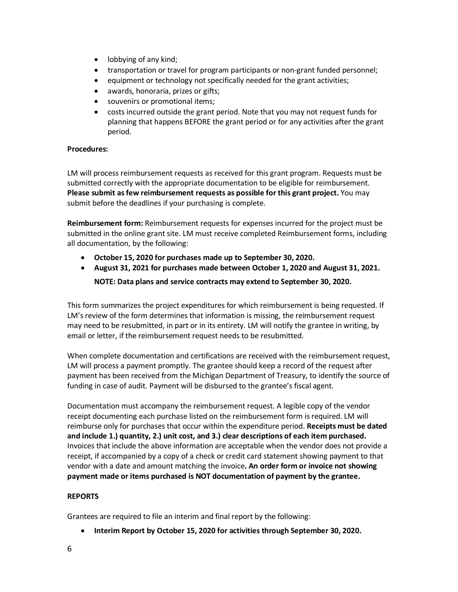- lobbying of any kind;
- transportation or travel for program participants or non-grant funded personnel;
- equipment or technology not specifically needed for the grant activities;
- awards, honoraria, prizes or gifts;
- souvenirs or promotional items;
- costs incurred outside the grant period. Note that you may not request funds for planning that happens BEFORE the grant period or for any activities after the grant period.

## **Procedures:**

LM will process reimbursement requests as received for this grant program. Requests must be submitted correctly with the appropriate documentation to be eligible for reimbursement. **Please submit as few reimbursement requests as possible for this grant project.** You may submit before the deadlines if your purchasing is complete.

**Reimbursement form:** Reimbursement requests for expenses incurred for the project must be submitted in the online grant site. LM must receive completed Reimbursement forms, including all documentation, by the following:

- **October 15, 2020 for purchases made up to September 30, 2020.**
- **August 31, 2021 for purchases made between October 1, 2020 and August 31, 2021.**

**NOTE: Data plans and service contracts may extend to September 30, 2020.**

This form summarizes the project expenditures for which reimbursement is being requested. If LM's review of the form determines that information is missing, the reimbursement request may need to be resubmitted, in part or in its entirety. LM will notify the grantee in writing, by email or letter, if the reimbursement request needs to be resubmitted.

When complete documentation and certifications are received with the reimbursement request, LM will process a payment promptly. The grantee should keep a record of the request after payment has been received from the Michigan Department of Treasury, to identify the source of funding in case of audit. Payment will be disbursed to the grantee's fiscal agent.

Documentation must accompany the reimbursement request. A legible copy of the vendor receipt documenting each purchase listed on the reimbursement form is required. LM will reimburse only for purchases that occur within the expenditure period. **Receipts must be dated and include 1.) quantity, 2.) unit cost, and 3.) clear descriptions of each item purchased.** Invoices that include the above information are acceptable when the vendor does not provide a receipt, if accompanied by a copy of a check or credit card statement showing payment to that vendor with a date and amount matching the invoice**. An order form or invoice not showing payment made or items purchased is NOT documentation of payment by the grantee.**

## **REPORTS**

Grantees are required to file an interim and final report by the following:

• **Interim Report by October 15, 2020 for activities through September 30, 2020.**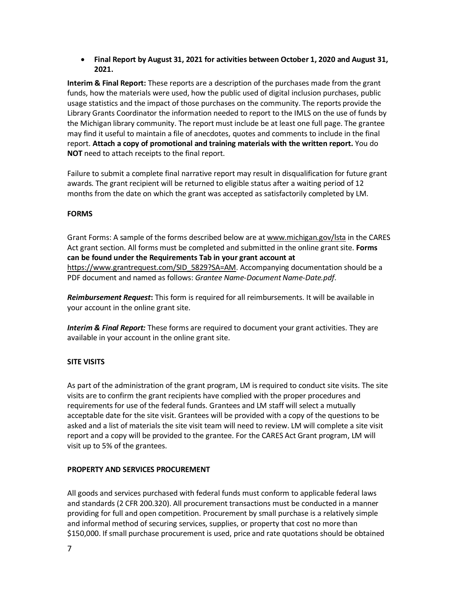• **Final Report by August 31, 2021 for activities between October 1, 2020 and August 31, 2021.**

**Interim & Final Report:** These reports are a description of the purchases made from the grant funds, how the materials were used, how the public used of digital inclusion purchases, public usage statistics and the impact of those purchases on the community. The reports provide the Library Grants Coordinator the information needed to report to the IMLS on the use of funds by the Michigan library community. The report must include be at least one full page. The grantee may find it useful to maintain a file of anecdotes, quotes and comments to include in the final report. **Attach a copy of promotional and training materials with the written report.** You do **NOT** need to attach receipts to the final report.

Failure to submit a complete final narrative report may result in disqualification for future grant awards. The grant recipient will be returned to eligible status after a waiting period of 12 months from the date on which the grant was accepted as satisfactorily completed by LM.

## **FORMS**

Grant Forms: A sample of the forms described below are at [www.michigan.gov/lsta](http://www.michigan.gov/lsta) in the CARES Act grant section. All forms must be completed and submitted in the online grant site. **Forms can be found under the Requirements Tab in your grant account at**  [https://www.grantrequest.com/SID\\_5829?SA=AM.](https://www.grantrequest.com/SID_5829?SA=AM) Accompanying documentation should be a PDF document and named as follows: *Grantee Name-Document Name-Date.pdf*.

*Reimbursement Request***:** This form is required for all reimbursements. It will be available in your account in the online grant site.

*Interim & Final Report:* These forms are required to document your grant activities. They are available in your account in the online grant site.

### **SITE VISITS**

As part of the administration of the grant program, LM is required to conduct site visits. The site visits are to confirm the grant recipients have complied with the proper procedures and requirements for use of the federal funds. Grantees and LM staff will select a mutually acceptable date for the site visit. Grantees will be provided with a copy of the questions to be asked and a list of materials the site visit team will need to review. LM will complete a site visit report and a copy will be provided to the grantee. For the CARES Act Grant program, LM will visit up to 5% of the grantees.

#### **PROPERTY AND SERVICES PROCUREMENT**

All goods and services purchased with federal funds must conform to applicable federal laws and standards (2 CFR 200.320). All procurement transactions must be conducted in a manner providing for full and open competition. Procurement by small purchase is a relatively simple and informal method of securing services, supplies, or property that cost no more than \$150,000. If small purchase procurement is used, price and rate quotations should be obtained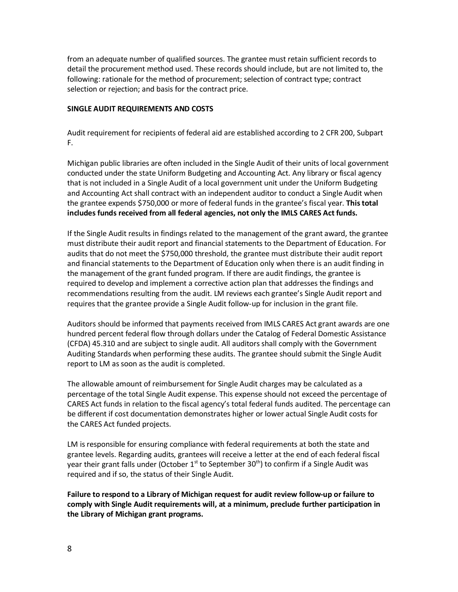from an adequate number of qualified sources. The grantee must retain sufficient records to detail the procurement method used. These records should include, but are not limited to, the following: rationale for the method of procurement; selection of contract type; contract selection or rejection; and basis for the contract price.

## **SINGLE AUDIT REQUIREMENTS AND COSTS**

Audit requirement for recipients of federal aid are established according to 2 CFR 200, Subpart F.

Michigan public libraries are often included in the Single Audit of their units of local government conducted under the state Uniform Budgeting and Accounting Act. Any library or fiscal agency that is not included in a Single Audit of a local government unit under the Uniform Budgeting and Accounting Act shall contract with an independent auditor to conduct a Single Audit when the grantee expends \$750,000 or more of federal funds in the grantee's fiscal year. **This total includes funds received from all federal agencies, not only the IMLS CARES Act funds.** 

If the Single Audit results in findings related to the management of the grant award, the grantee must distribute their audit report and financial statements to the Department of Education. For audits that do not meet the \$750,000 threshold, the grantee must distribute their audit report and financial statements to the Department of Education only when there is an audit finding in the management of the grant funded program. If there are audit findings, the grantee is required to develop and implement a corrective action plan that addresses the findings and recommendations resulting from the audit. LM reviews each grantee's Single Audit report and requires that the grantee provide a Single Audit follow-up for inclusion in the grant file.

Auditors should be informed that payments received from IMLS CARES Act grant awards are one hundred percent federal flow through dollars under the Catalog of Federal Domestic Assistance (CFDA) 45.310 and are subject to single audit. All auditors shall comply with the Government Auditing Standards when performing these audits. The grantee should submit the Single Audit report to LM as soon as the audit is completed.

The allowable amount of reimbursement for Single Audit charges may be calculated as a percentage of the total Single Audit expense. This expense should not exceed the percentage of CARES Act funds in relation to the fiscal agency's total federal funds audited. The percentage can be different if cost documentation demonstrates higher or lower actual Single Audit costs for the CARES Act funded projects.

LM is responsible for ensuring compliance with federal requirements at both the state and grantee levels. Regarding audits, grantees will receive a letter at the end of each federal fiscal year their grant falls under (October  $1<sup>st</sup>$  to September 30<sup>th</sup>) to confirm if a Single Audit was required and if so, the status of their Single Audit.

**Failure to respond to a Library of Michigan request for audit review follow-up or failure to comply with Single Audit requirements will, at a minimum, preclude further participation in the Library of Michigan grant programs.**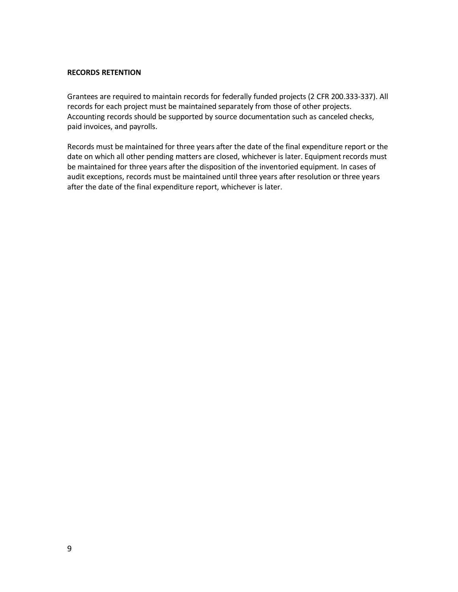### **RECORDS RETENTION**

Grantees are required to maintain records for federally funded projects (2 CFR 200.333-337). All records for each project must be maintained separately from those of other projects. Accounting records should be supported by source documentation such as canceled checks, paid invoices, and payrolls.

Records must be maintained for three years after the date of the final expenditure report or the date on which all other pending matters are closed, whichever is later. Equipment records must be maintained for three years after the disposition of the inventoried equipment. In cases of audit exceptions, records must be maintained until three years after resolution or three years after the date of the final expenditure report, whichever is later.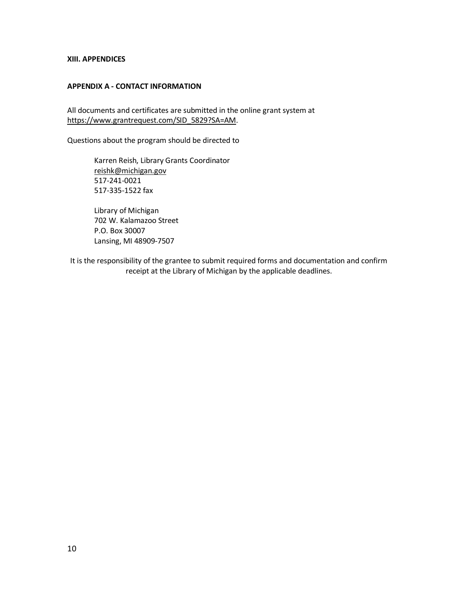#### **XIII. APPENDICES**

## **APPENDIX A - CONTACT INFORMATION**

All documents and certificates are submitted in the online grant system at [https://www.grantrequest.com/SID\\_5829?SA=AM.](https://www.grantrequest.com/SID_5829?SA=AM)

Questions about the program should be directed to

Karren Reish, Library Grants Coordinator [reishk@michigan.gov](mailto:reishk@michigan.gov) 517-241-0021 517-335-1522 fax

Library of Michigan 702 W. Kalamazoo Street P.O. Box 30007 Lansing, MI 48909-7507

It is the responsibility of the grantee to submit required forms and documentation and confirm receipt at the Library of Michigan by the applicable deadlines.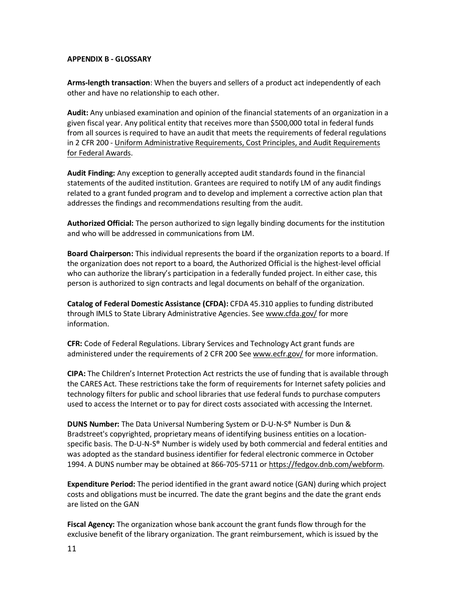#### **APPENDIX B - GLOSSARY**

**Arms-length transaction**: When the buyers and sellers of a product act independently of each other and have no relationship to each other.

**Audit:** Any unbiased examination and opinion of the financial statements of an organization in a given fiscal year. Any political entity that receives more than \$500,000 total in federal funds from all sources is required to have an audit that meets the requirements of federal regulations in 2 CFR 200 - [Uniform Administrative Requirements, Cost Principles, and Audit Requirements](https://www.federalregister.gov/articles/2013/12/26/2013-30465/uniform-administrative-requirements-cost-principles-and-audit-requirements-for-federal-awards#sec-200-33)  [for Federal Awards.](https://www.federalregister.gov/articles/2013/12/26/2013-30465/uniform-administrative-requirements-cost-principles-and-audit-requirements-for-federal-awards#sec-200-33)

**Audit Finding:** Any exception to generally accepted audit standards found in the financial statements of the audited institution. Grantees are required to notify LM of any audit findings related to a grant funded program and to develop and implement a corrective action plan that addresses the findings and recommendations resulting from the audit.

**Authorized Official:** The person authorized to sign legally binding documents for the institution and who will be addressed in communications from LM.

**Board Chairperson:** This individual represents the board if the organization reports to a board. If the organization does not report to a board, the Authorized Official is the highest-level official who can authorize the library's participation in a federally funded project. In either case, this person is authorized to sign contracts and legal documents on behalf of the organization.

**Catalog of Federal Domestic Assistance (CFDA):** CFDA 45.310 applies to funding distributed through IMLS to State Library Administrative Agencies. See [www.cfda.gov/](http://www.cfda.gov/) for more information.

**CFR:** Code of Federal Regulations. Library Services and Technology Act grant funds are administered under the requirements of 2 CFR 200 Se[e www.ecfr.gov/](http://www.ecfr.gov/) for more information.

**CIPA:** The Children's Internet Protection Act restricts the use of funding that is available through the CARES Act. These restrictions take the form of requirements for Internet safety policies and technology filters for public and school libraries that use federal funds to purchase computers used to access the Internet or to pay for direct costs associated with accessing the Internet.

**DUNS Number:** The Data Universal Numbering System or D-U-N-S® Number is Dun & Bradstreet's copyrighted, proprietary means of identifying business entities on a locationspecific basis. The D-U-N-S® Number is widely used by both commercial and federal entities and was adopted as the standard business identifier for federal electronic commerce in October 1994. A DUNS number may be obtained at 866-705-5711 o[r https://fedgov.dnb.com/webform.](https://fedgov.dnb.com/webform)

**Expenditure Period:** The period identified in the grant award notice (GAN) during which project costs and obligations must be incurred. The date the grant begins and the date the grant ends are listed on the GAN

**Fiscal Agency:** The organization whose bank account the grant funds flow through for the exclusive benefit of the library organization. The grant reimbursement, which is issued by the